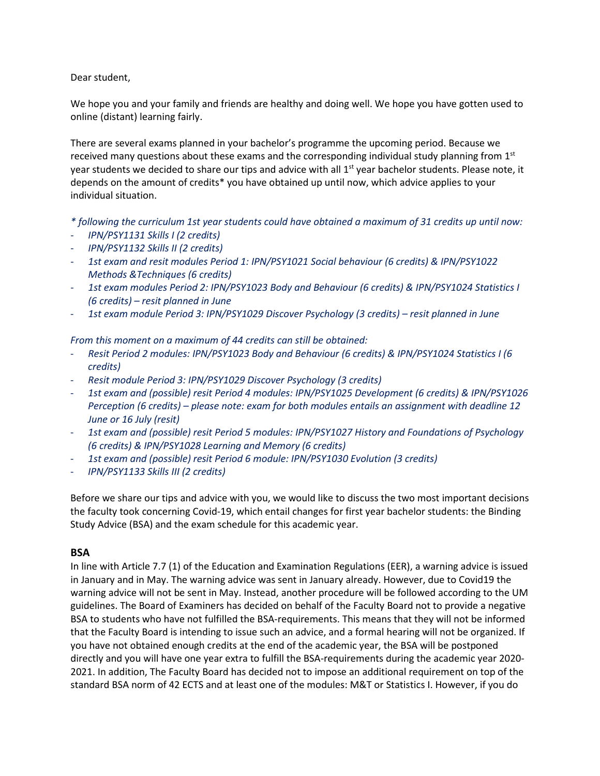Dear student,

We hope you and your family and friends are healthy and doing well. We hope you have gotten used to online (distant) learning fairly.

There are several exams planned in your bachelor's programme the upcoming period. Because we received many questions about these exams and the corresponding individual study planning from  $1<sup>st</sup>$ year students we decided to share our tips and advice with all 1<sup>st</sup> year bachelor students. Please note, it depends on the amount of credits\* you have obtained up until now, which advice applies to your individual situation.

#### *\* following the curriculum 1st year students could have obtained a maximum of 31 credits up until now:*

- *IPN/PSY1131 Skills I (2 credits)*
- *IPN/PSY1132 Skills II (2 credits)*
- *1st exam and resit modules Period 1: IPN/PSY1021 Social behaviour (6 credits) & IPN/PSY1022 Methods &Techniques (6 credits)*
- *1st exam modules Period 2: IPN/PSY1023 Body and Behaviour (6 credits) & IPN/PSY1024 Statistics I (6 credits) – resit planned in June*
- *1st exam module Period 3: IPN/PSY1029 Discover Psychology (3 credits) – resit planned in June*

*From this moment on a maximum of 44 credits can still be obtained:*

- *Resit Period 2 modules: IPN/PSY1023 Body and Behaviour (6 credits) & IPN/PSY1024 Statistics I (6 credits)*
- *Resit module Period 3: IPN/PSY1029 Discover Psychology (3 credits)*
- *1st exam and (possible) resit Period 4 modules: IPN/PSY1025 Development (6 credits) & IPN/PSY1026 Perception (6 credits) – please note: exam for both modules entails an assignment with deadline 12 June or 16 July (resit)*
- *1st exam and (possible) resit Period 5 modules: IPN/PSY1027 History and Foundations of Psychology (6 credits) & IPN/PSY1028 Learning and Memory (6 credits)*
- *1st exam and (possible) resit Period 6 module: IPN/PSY1030 Evolution (3 credits)*
- *IPN/PSY1133 Skills III (2 credits)*

Before we share our tips and advice with you, we would like to discuss the two most important decisions the faculty took concerning Covid-19, which entail changes for first year bachelor students: the Binding Study Advice (BSA) and the exam schedule for this academic year.

# **BSA**

In line with Article 7.7 (1) of the Education and Examination Regulations (EER), a warning advice is issued in January and in May. The warning advice was sent in January already. However, due to Covid19 the warning advice will not be sent in May. Instead, another procedure will be followed according to the UM guidelines. The Board of Examiners has decided on behalf of the Faculty Board not to provide a negative BSA to students who have not fulfilled the BSA-requirements. This means that they will not be informed that the Faculty Board is intending to issue such an advice, and a formal hearing will not be organized. If you have not obtained enough credits at the end of the academic year, the BSA will be postponed directly and you will have one year extra to fulfill the BSA-requirements during the academic year 2020- 2021. In addition, The Faculty Board has decided not to impose an additional requirement on top of the standard BSA norm of 42 ECTS and at least one of the modules: M&T or Statistics I. However, if you do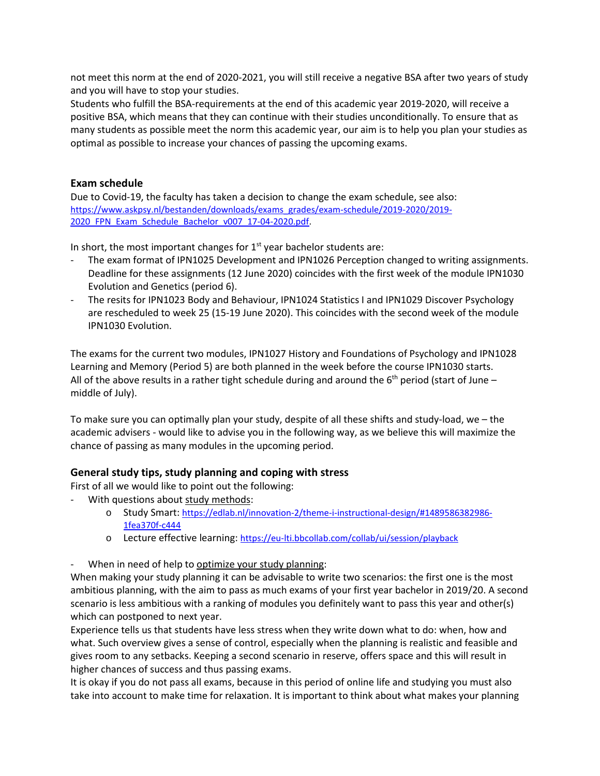not meet this norm at the end of 2020-2021, you will still receive a negative BSA after two years of study and you will have to stop your studies.

Students who fulfill the BSA-requirements at the end of this academic year 2019-2020, will receive a positive BSA, which means that they can continue with their studies unconditionally. To ensure that as many students as possible meet the norm this academic year, our aim is to help you plan your studies as optimal as possible to increase your chances of passing the upcoming exams.

#### **Exam schedule**

Due to Covid-19, the faculty has taken a decision to change the exam schedule, see also: [https://www.askpsy.nl/bestanden/downloads/exams\\_grades/exam-schedule/2019-2020/2019-](https://www.askpsy.nl/bestanden/downloads/exams_grades/exam-schedule/2019-2020/2019-2020_FPN_Exam_Schedule_Bachelor_v007_17-04-2020.pdf) [2020\\_FPN\\_Exam\\_Schedule\\_Bachelor\\_v007\\_17-04-2020.pdf.](https://www.askpsy.nl/bestanden/downloads/exams_grades/exam-schedule/2019-2020/2019-2020_FPN_Exam_Schedule_Bachelor_v007_17-04-2020.pdf)

In short, the most important changes for  $1<sup>st</sup>$  year bachelor students are:

- The exam format of IPN1025 Development and IPN1026 Perception changed to writing assignments. Deadline for these assignments (12 June 2020) coincides with the first week of the module IPN1030 Evolution and Genetics (period 6).
- The resits for IPN1023 Body and Behaviour, IPN1024 Statistics I and IPN1029 Discover Psychology are rescheduled to week 25 (15-19 June 2020). This coincides with the second week of the module IPN1030 Evolution.

The exams for the current two modules, IPN1027 History and Foundations of Psychology and IPN1028 Learning and Memory (Period 5) are both planned in the week before the course IPN1030 starts. All of the above results in a rather tight schedule during and around the  $6<sup>th</sup>$  period (start of June – middle of July).

To make sure you can optimally plan your study, despite of all these shifts and study-load, we – the academic advisers - would like to advise you in the following way, as we believe this will maximize the chance of passing as many modules in the upcoming period.

# **General study tips, study planning and coping with stress**

First of all we would like to point out the following:

- With questions about study methods:
	- o Study Smart: [https://edlab.nl/innovation-2/theme-i-instructional-design/#1489586382986-](https://edlab.nl/innovation-2/theme-i-instructional-design/#1489586382986-1fea370f-c444) [1fea370f-c444](https://edlab.nl/innovation-2/theme-i-instructional-design/#1489586382986-1fea370f-c444)
	- o Lecture effective learning:<https://eu-lti.bbcollab.com/collab/ui/session/playback>
- When in need of help to optimize your study planning:

When making your study planning it can be advisable to write two scenarios: the first one is the most ambitious planning, with the aim to pass as much exams of your first year bachelor in 2019/20. A second scenario is less ambitious with a ranking of modules you definitely want to pass this year and other(s) which can postponed to next year.

Experience tells us that students have less stress when they write down what to do: when, how and what. Such overview gives a sense of control, especially when the planning is realistic and feasible and gives room to any setbacks. Keeping a second scenario in reserve, offers space and this will result in higher chances of success and thus passing exams.

It is okay if you do not pass all exams, because in this period of online life and studying you must also take into account to make time for relaxation. It is important to think about what makes your planning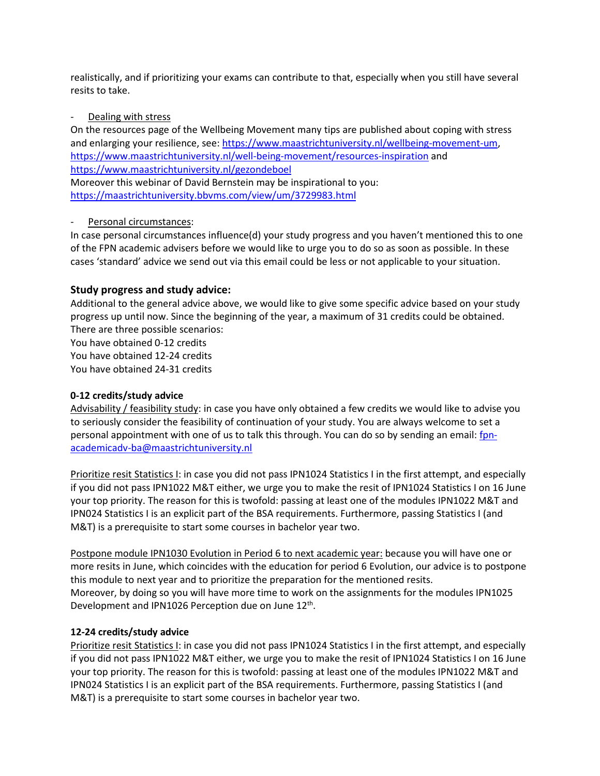realistically, and if prioritizing your exams can contribute to that, especially when you still have several resits to take.

#### Dealing with stress

On the resources page of the Wellbeing Movement many tips are published about coping with stress and enlarging your resilience, see[: https://www.maastrichtuniversity.nl/wellbeing-movement-um,](https://www.maastrichtuniversity.nl/wellbeing-movement-um) <https://www.maastrichtuniversity.nl/well-being-movement/resources-inspiration> and <https://www.maastrichtuniversity.nl/gezondeboel> Moreover this webinar of David Bernstein may be inspirational to you:

<https://maastrichtuniversity.bbvms.com/view/um/3729983.html>

# Personal circumstances:

In case personal circumstances influence(d) your study progress and you haven't mentioned this to one of the FPN academic advisers before we would like to urge you to do so as soon as possible. In these cases 'standard' advice we send out via this email could be less or not applicable to your situation.

# **Study progress and study advice:**

Additional to the general advice above, we would like to give some specific advice based on your study progress up until now. Since the beginning of the year, a maximum of 31 credits could be obtained. There are three possible scenarios:

You have obtained 0-12 credits You have obtained 12-24 credits You have obtained 24-31 credits

# **0-12 credits/study advice**

Advisability / feasibility study: in case you have only obtained a few credits we would like to advise you to seriously consider the feasibility of continuation of your study. You are always welcome to set a personal appointment with one of us to talk this through. You can do so by sending an email: [fpn](mailto:fpn-academicadv-ba@maastrichtuniversity.nl)[academicadv-ba@maastrichtuniversity.nl](mailto:fpn-academicadv-ba@maastrichtuniversity.nl)

Prioritize resit Statistics I: in case you did not pass IPN1024 Statistics I in the first attempt, and especially if you did not pass IPN1022 M&T either, we urge you to make the resit of IPN1024 Statistics I on 16 June your top priority. The reason for this is twofold: passing at least one of the modules IPN1022 M&T and IPN024 Statistics I is an explicit part of the BSA requirements. Furthermore, passing Statistics I (and M&T) is a prerequisite to start some courses in bachelor year two.

Postpone module IPN1030 Evolution in Period 6 to next academic year: because you will have one or more resits in June, which coincides with the education for period 6 Evolution, our advice is to postpone this module to next year and to prioritize the preparation for the mentioned resits. Moreover, by doing so you will have more time to work on the assignments for the modules IPN1025 Development and IPN1026 Perception due on June 12<sup>th</sup>.

# **12-24 credits/study advice**

Prioritize resit Statistics I: in case you did not pass IPN1024 Statistics I in the first attempt, and especially if you did not pass IPN1022 M&T either, we urge you to make the resit of IPN1024 Statistics I on 16 June your top priority. The reason for this is twofold: passing at least one of the modules IPN1022 M&T and IPN024 Statistics I is an explicit part of the BSA requirements. Furthermore, passing Statistics I (and M&T) is a prerequisite to start some courses in bachelor year two.